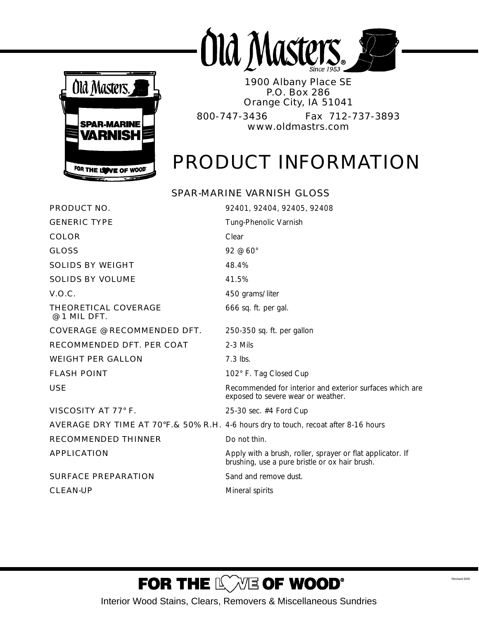



1900 Albany Place SE P.O. Box 286 Orange City, IA 51041 800-747-3436 Fax 712-737-3893 www.oldmastrs.com

# PRODUCT INFORMATION

### *SPAR-MARINE VARNISH GLOSS*

| <b>PRODUCT NO.</b>                                                                              | 92401, 92404, 92405, 92408                                                                                   |
|-------------------------------------------------------------------------------------------------|--------------------------------------------------------------------------------------------------------------|
| <b>GENERIC TYPE</b>                                                                             | Tung-Phenolic Varnish                                                                                        |
| <b>COLOR</b>                                                                                    | Clear                                                                                                        |
| <b>GLOSS</b>                                                                                    | 92 @ 60°                                                                                                     |
| <b>SOLIDS BY WEIGHT</b>                                                                         | 48.4%                                                                                                        |
| <b>SOLIDS BY VOLUME</b>                                                                         | 41.5%                                                                                                        |
| <b>V.O.C.</b>                                                                                   | 450 grams/liter                                                                                              |
| THEORETICAL COVERAGE<br>@ 1 MIL DFT.                                                            | 666 sq. ft. per gal.                                                                                         |
| <b>COVERAGE @ RECOMMENDED DFT.</b>                                                              | $250-350$ sq. ft. per gallon                                                                                 |
| <b>RECOMMENDED DFT. PER COAT</b>                                                                | $2-3$ Mils                                                                                                   |
| <b>WEIGHT PER GALLON</b>                                                                        | $7.3$ lbs.                                                                                                   |
| <b>FLASH POINT</b>                                                                              | 102° F. Tag Closed Cup                                                                                       |
| <b>USE</b>                                                                                      | Recommended for interior and exterior surfaces which are<br>exposed to severe wear or weather.               |
| VISCOSITY AT 77° F.                                                                             | 25-30 sec. #4 Ford Cup                                                                                       |
| <b>AVERAGE DRY TIME AT 70°F. &amp; 50% R.H.</b> 4-6 hours dry to touch, recoat after 8-16 hours |                                                                                                              |
| <b>RECOMMENDED THINNER</b>                                                                      | Do not thin.                                                                                                 |
| <b>APPLICATION</b>                                                                              | Apply with a brush, roller, sprayer or flat applicator. If<br>brushing, use a pure bristle or ox hair brush. |
| <b>SURFACE PREPARATION</b>                                                                      | Sand and remove dust.                                                                                        |
| <b>CLEAN-UP</b>                                                                                 | Mineral spirits                                                                                              |

## FOR THE LOWE OF WOOD®

Interior Wood Stains, Clears, Removers & Miscellaneous Sundries